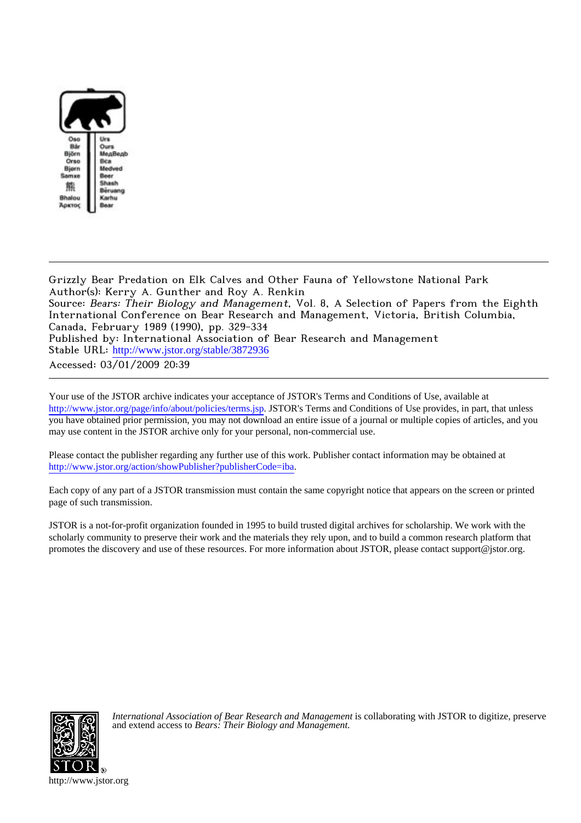

Grizzly Bear Predation on Elk Calves and Other Fauna of Yellowstone National Park Author(s): Kerry A. Gunther and Roy A. Renkin Source: Bears: Their Biology and Management, Vol. 8, A Selection of Papers from the Eighth International Conference on Bear Research and Management, Victoria, British Columbia, Canada, February 1989 (1990), pp. 329-334 Published by: International Association of Bear Research and Management Stable URL: [http://www.jstor.org/stable/3872936](http://www.jstor.org/stable/3872936?origin=JSTOR-pdf) Accessed: 03/01/2009 20:39

Your use of the JSTOR archive indicates your acceptance of JSTOR's Terms and Conditions of Use, available at <http://www.jstor.org/page/info/about/policies/terms.jsp>. JSTOR's Terms and Conditions of Use provides, in part, that unless you have obtained prior permission, you may not download an entire issue of a journal or multiple copies of articles, and you may use content in the JSTOR archive only for your personal, non-commercial use.

Please contact the publisher regarding any further use of this work. Publisher contact information may be obtained at <http://www.jstor.org/action/showPublisher?publisherCode=iba>.

Each copy of any part of a JSTOR transmission must contain the same copyright notice that appears on the screen or printed page of such transmission.

JSTOR is a not-for-profit organization founded in 1995 to build trusted digital archives for scholarship. We work with the scholarly community to preserve their work and the materials they rely upon, and to build a common research platform that promotes the discovery and use of these resources. For more information about JSTOR, please contact support@jstor.org.



*International Association of Bear Research and Management* is collaborating with JSTOR to digitize, preserve and extend access to *Bears: Their Biology and Management.*

http://www.jstor.org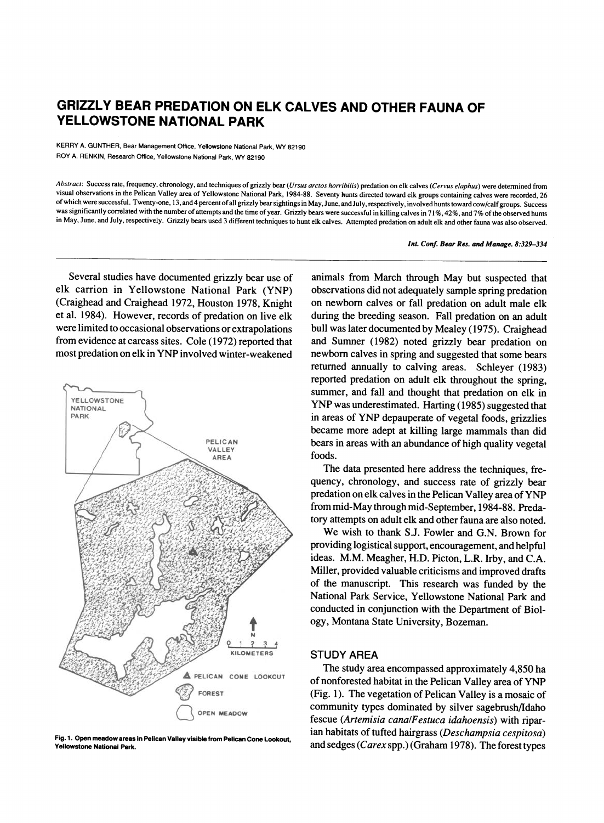# **GRIZZLY BEAR PREDATION ON ELK CALVES AND OTHER FAUNA OF YELLOWSTONE NATIONAL PARK**

**KERRY A. GUNTHER, Bear Management Office, Yellowstone National Park, WY 82190 ROY A. RENKIN, Research Office, Yellowstone National Park, WY 82190** 

**Abstract: Success rate, frequency, chronology, and techniques of grizzly bear (Ursus arctos horribilis) predation on elk calves (Cervus elaphus) were determined from visual observations in the Pelican Valley area of Yellowstone National Park, 1984-88. Seventy hunts directed toward elk groups containing calves were recorded, 26 of which were successful. Twenty-one, 13, and 4 percent of all grizzly bear sightings in May, June, and July, respectively, involved hunts toward cow/calf groups. Success**  was significantly correlated with the number of attempts and the time of year. Grizzly bears were successful in killing calves in 71%, 42%, and 7% of the observed hunts **in May, June, and July, respectively. Grizzly bears used 3 different techniques to hunt elk calves. Attempted predation on adult elk and other fauna was also observed.** 

**Int. Conf. Bear Res. and Manage. 8:329-334** 

**Several studies have documented grizzly bear use of elk carrion in Yellowstone National Park (YNP) (Craighead and Craighead 1972, Houston 1978, Knight et al. 1984). However, records of predation on live elk were limited to occasional observations or extrapolations from evidence at carcass sites. Cole (1972) reported that most predation on elk in YNP involved winter-weakened** 



**Fig. 1. Open meadow areas in Pelican Valley visible from Pelican Cone Lookout, Yellowstone National Park.** 

**animals from March through May but suspected that observations did not adequately sample spring predation on newborn calves or fall predation on adult male elk during the breeding season. Fall predation on an adult bull was later documented by Mealey (1975). Craighead and Sumner (1982) noted grizzly bear predation on newborn calves in spring and suggested that some bears returned annually to calving areas. Schleyer (1983) reported predation on adult elk throughout the spring, summer, and fall and thought that predation on elk in YNP was underestimated. Harting (1985) suggested that in areas of YNP depauperate of vegetal foods, grizzlies became more adept at killing large mammals than did bears in areas with an abundance of high quality vegetal foods.** 

**The data presented here address the techniques, frequency, chronology, and success rate of grizzly bear predation on elk calves in the Pelican Valley area of YNP from mid-May through mid-September, 1984-88. Predatory attempts on adult elk and other fauna are also noted.** 

**We wish to thank S.J. Fowler and G.N. Brown for providing logistical support, encouragement, and helpful ideas. M.M. Meagher, H.D. Picton, L.R. Irby, and C.A. Miller, provided valuable criticisms and improved drafts of the manuscript. This research was funded by the National Park Service, Yellowstone National Park and conducted in conjunction with the Department of Biology, Montana State University, Bozeman.** 

# **STUDY AREA**

**The study area encompassed approximately 4,850 ha of nonforested habitat in the Pelican Valley area of YNP (Fig. 1). The vegetation of Pelican Valley is a mosaic of community types dominated by silver sagebrush/Idaho fescue (Artemisia cana/Festuca idahoensis) with riparian habitats of tufted hairgrass (Deschampsia cespitosa) and sedges (Carex spp.) (Graham 1978). The forest types**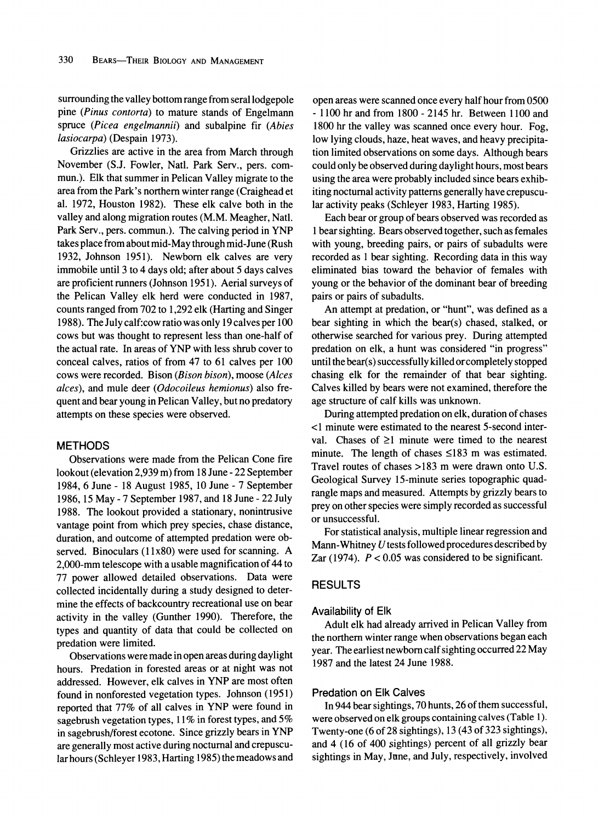**surrounding the valley bottom range from seral lodgepole pine (Pinus contorta) to mature stands of Engelmann spruce (Picea engelmannii) and subalpine fir (Abies lasiocarpa) (Despain 1973).** 

**Grizzlies are active in the area from March through November (S.J. Fowler, Natl. Park Serv., pers. commun.). Elk that summer in Pelican Valley migrate to the area from the Park's northern winter range (Craighead et al. 1972, Houston 1982). These elk calve both in the valley and along migration routes (M.M. Meagher, Natl. Park Serv., pers. commun.). The calving period in YNP takes place from about mid-May through mid-June (Rush 1932, Johnson 1951). Newborn elk calves are very immobile until 3 to 4 days old; after about 5 days calves are proficient runners (Johnson 1951). Aerial surveys of the Pelican Valley elk herd were conducted in 1987, counts ranged from 702 to 1,292 elk (Harting and Singer 1988). The July calf:cow ratio was only 19 calves per 100 cows but was thought to represent less than one-half of the actual rate. In areas of YNP with less shrub cover to conceal calves, ratios of from 47 to 61 calves per 100 cows were recorded. Bison (Bison bison), moose (Alces alces), and mule deer (Odocoileus hemionus) also frequent and bear young in Pelican Valley, but no predatory attempts on these species were observed.** 

## **METHODS**

**Observations were made from the Pelican Cone fire lookout (elevation 2,939 m) from 18 June - 22 September 1984, 6 June - 18 August 1985, 10 June - 7 September 1986, 15 May - 7 September 1987, and 18 June - 22 July 1988. The lookout provided a stationary, nonintrusive vantage point from which prey species, chase distance, duration, and outcome of attempted predation were observed. Binoculars (1 1x80) were used for scanning. A 2,000-mm telescope with a usable magnification of 44 to 77 power allowed detailed observations. Data were collected incidentally during a study designed to determine the effects of backcountry recreational use on bear activity in the valley (Gunther 1990). Therefore, the types and quantity of data that could be collected on predation were limited.** 

**Observations were made in open areas during daylight hours. Predation in forested areas or at night was not addressed. However, elk calves in YNP are most often found in nonforested vegetation types. Johnson (1951) reported that 77% of all calves in YNP were found in sagebrush vegetation types, 11% in forest types, and 5% in sagebrush/forest ecotone. Since grizzly bears in YNP are generally most active during nocturnal and crepuscular hours (Schleyer 1983, Harting 1985) the meadows and**  **open areas were scanned once every half hour from 0500 - 1100 hr and from 1800 - 2145 hr. Between 1100 and 1800 hr the valley was scanned once every hour. Fog, low lying clouds, haze, heat waves, and heavy precipitation limited observations on some days. Although bears could only be observed during daylight hours, most bears using the area were probably included since bears exhibiting nocturnal activity patterns generally have crepuscular activity peaks (Schleyer 1983, Harting 1985).** 

**Each bear or group of bears observed was recorded as 1 bear sighting. Bears observed together, such as females with young, breeding pairs, or pairs of subadults were recorded as 1 bear sighting. Recording data in this way eliminated bias toward the behavior of females with young or the behavior of the dominant bear of breeding pairs or pairs of subadults.** 

**An attempt at predation, or "hunt", was defined as a bear sighting in which the bear(s) chased, stalked, or otherwise searched for various prey. During attempted predation on elk, a hunt was considered "in progress" until the bear(s) successfully killed orcompletely stopped chasing elk for the remainder of that bear sighting. Calves killed by bears were not examined, therefore the age structure of calf kills was unknown.** 

**During attempted predation on elk, duration of chases <1 minute were estimated to the nearest 5-second inter**val. Chases of  $\geq 1$  minute were timed to the nearest **minute. The length of chases <183 m was estimated. Travel routes of chases >183 m were drawn onto U.S. Geological Survey 15-minute series topographic quadrangle maps and measured. Attempts by grizzly bears to prey on other species were simply recorded as successful or unsuccessful.** 

**For statistical analysis, multiple linear regression and Mann-Whitney U tests followed procedures described by Zar (1974). P < 0.05 was considered to be significant.** 

## **RESULTS**

## **Availability of Elk**

**Adult elk had already arrived in Pelican Valley from the northern winter range when observations began each year. The earliest newborn calf sighting occurred 22 May 1987 and the latest 24 June 1988.** 

# **Predation on Elk Calves**

**In 944 bear sightings, 70 hunts, 26 of them successful, were observed on elk groups containing calves (Table 1). Twenty-one (6 of 28 sightings), 13 (43 of 323 sightings), and 4 (16 of 400 sightings) percent of all grizzly bear sightings in May, June, and July, respectively, involved**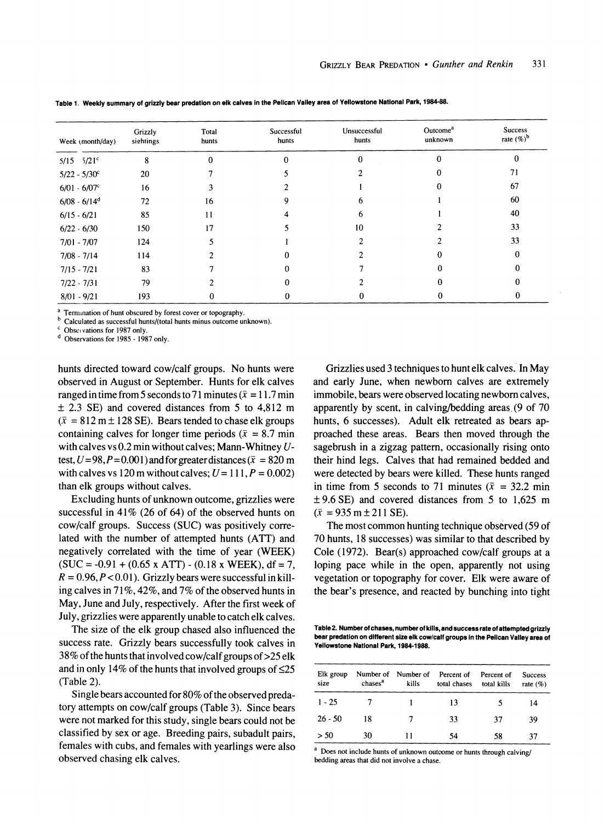| Week (month/day) | Grizzly<br>sightings | Total<br>hunts | Successful<br>hunts | Unsuccessful<br>hunts | Outcome <sup>a</sup><br>unknown | <b>Success</b><br>rate $(\%)^b$ |
|------------------|----------------------|----------------|---------------------|-----------------------|---------------------------------|---------------------------------|
| $5/15$ $5/21$ °  | 8                    |                |                     | $\Omega$              |                                 | 0                               |
| $5/22 - 5/30^c$  | 20                   |                |                     |                       |                                 | 71                              |
| $6/01 - 6/07$ c  | 16                   |                |                     |                       |                                 | 67                              |
| $6/08 - 6/14^d$  | 72                   | 16             |                     |                       |                                 | 60                              |
| $6/15 - 6/21$    | 85                   | 11             |                     |                       |                                 | 40                              |
| $6/22 - 6/30$    | 150                  | 17             |                     | 10                    |                                 | 33                              |
| $7/01 - 7/07$    | 124                  |                |                     |                       |                                 | 33                              |
| $7/08 - 7/14$    | 114                  |                |                     |                       |                                 |                                 |
| $7/15 - 7/21$    | 83                   |                |                     |                       |                                 |                                 |
| $7/22 - 7/31$    | 79                   |                |                     |                       |                                 |                                 |
| $8/01 - 9/21$    | 193                  |                |                     |                       |                                 |                                 |

**Table 1. Weekly summary of grizzly bear predation on elk calves in the Pelican Valley area of Yellowstone National Park, 1984-88.** 

**<sup>a</sup>Termination of hunt obscured by forest cover or topography.** 

**bCalculated as successful hunts/(total hunts minus outcome unknown).**<br>
<sup>c</sup>**Obset vations for 1987 only.** 

<sup>d</sup> Observations for 1985 - 1987 only.

**hunts directed toward cow/calf groups. No hunts were observed in August or September. Hunts for elk calves**  ranged in time from 5 seconds to 71 minutes ( $\bar{x} = 11.7$  min **+ 2.3 SE) and covered distances from 5 to 4,812 m**   $(\bar{x} = 812 \text{ m} \pm 128 \text{ SE})$ . Bears tended to chase elk groups containing calves for longer time periods ( $\bar{x}$  = 8.7 min **with calves vs 0.2 min without calves; Mann-Whitney U**test,  $U = 98$ ,  $P = 0.001$ ) and for greater distances ( $\bar{x} = 820$  m with calves vs 120 m without calves;  $U = 111$ ,  $P = 0.002$ ) **than elk groups without calves.** 

**Excluding hunts of unknown outcome, grizzlies were successful in 41% (26 of 64) of the observed hunts on cow/calf groups. Success (SUC) was positively correlated with the number of attempted hunts (ATT) and negatively correlated with the time of year (WEEK)**   $(SUC = -0.91 + (0.65 \times ATT) - (0.18 \times WEEK), df = 7$ ,  $R = 0.96, P < 0.01$ . Grizzly bears were successful in kill**ing calves in 71%, 42%, and 7% of the observed hunts in May, June and July, respectively. After the first week of July, grizzlies were apparently unable to catch elk calves.** 

**The size of the elk group chased also influenced the success rate. Grizzly bears successfully took calves in 38% of the hunts that involved cow/calf groups of>25 elk and in only 14% of the hunts that involved groups of <25 (Table 2).** 

**Single bears accounted for 80% of the observed predatory attempts on cow/calf groups (Table 3). Since bears were not marked for this study, single bears could not be classified by sex or age. Breeding pairs, subadult pairs, females with cubs, and females with yearlings were also observed chasing elk calves.** 

**Grizzlies used 3 techniques to hunt elk calves. In May and early June, when newborn calves are extremely immobile, bears were observed locating newborn calves, apparently by scent, in calving/bedding areas. (9 of 70 hunts, 6 successes). Adult elk retreated as bears approached these areas. Bears then moved through the sagebrush in a zigzag pattern, occasionally rising onto their hind legs. Calves that had remained bedded and were detected by bears were killed. These hunts ranged**  in time from 5 seconds to 71 minutes  $(\bar{x} = 32.2 \text{ min})$ **?9.6 SE) and covered distances from 5 to 1,625 m**   $(\bar{x} = 935 \text{ m} \pm 211 \text{ SE}).$ 

**The most common hunting technique observed (59 of 70 hunts, 18 successes) was similar to that described by Cole (1972). Bear(s) approached cow/calf groups at a loping pace while in the open, apparently not using vegetation or topography for cover. Elk were aware of the bear's presence, and reacted by bunching into tight** 

**Table 2. Number of chases, number of kills, and success rate of attempted grizzly bear predation on different size elk cow/calf groups in the Pelican Valley area of Yellowstone National Park, 1984-1988.** 

| Elk group<br>size | chases <sup>a</sup> | kills | Number of Number of Percent of<br>total chases | Percent of<br>total kills | <b>Success</b><br>rate $(\%)$ |
|-------------------|---------------------|-------|------------------------------------------------|---------------------------|-------------------------------|
| $1 - 25$          |                     |       | 13                                             |                           | 14                            |
| $26 - 50$         | 18                  |       | 33                                             | 37                        | 39                            |
| > 50              | 30                  |       | 54                                             | 58                        | 37                            |

**<sup>a</sup>Does not include hunts of unknown outcome or hunts through calving/ bedding areas that did not involve a chase.**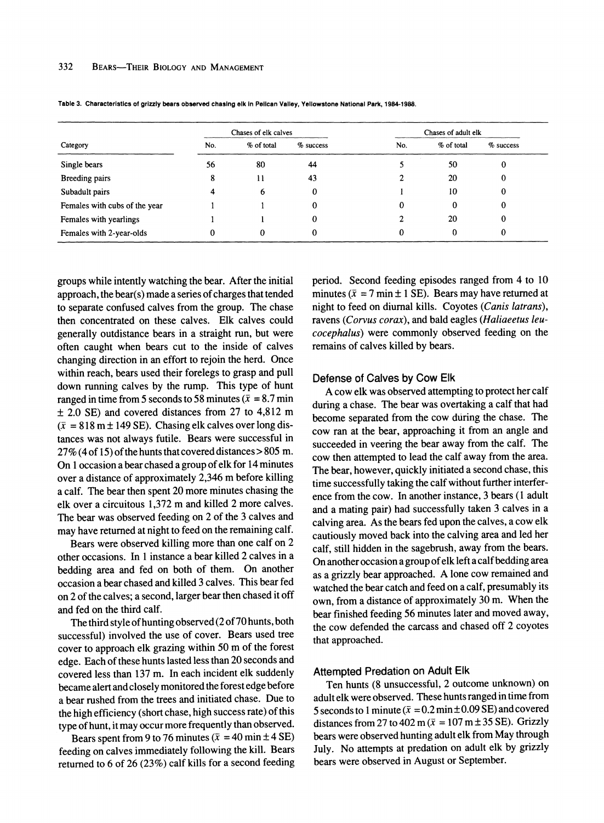|                               | Chases of elk calves |            |             | Chases of adult elk |            |             |
|-------------------------------|----------------------|------------|-------------|---------------------|------------|-------------|
| Category                      | No.                  | % of total | $%$ success | No.                 | % of total | $%$ success |
| Single bears                  | 56                   | 80         | 44          |                     | 50         | 0           |
| Breeding pairs                | 8                    | 11         | 43          |                     | 20         | 0           |
| Subadult pairs                | 4                    | 6          | 0           |                     | 10         | 0           |
| Females with cubs of the year |                      |            | 0           | 0                   | $\theta$   | 0           |
| Females with yearlings        |                      |            | 0           |                     | 20         | 0           |
| Females with 2-year-olds      | 0                    | 0          | 0           | 0                   | 0          | 0           |

**Table 3. Characteristics of grizzly bears observed chasing elk in Pelican Valley, Yellowstone National Park, 1984-1988.** 

**groups while intently watching the bear. After the initial approach, the bear(s) made a series of charges that tended to separate confused calves from the group. The chase then concentrated on these calves. Elk calves could generally outdistance bears in a straight run, but were often caught when bears cut to the inside of calves changing direction in an effort to rejoin the herd. Once within reach, bears used their forelegs to grasp and pull down running calves by the rump. This type of hunt**  ranged in time from 5 seconds to 58 minutes ( $\bar{x}$  = 8.7 min **+ 2.0 SE) and covered distances from 27 to 4,812 m**   $(\bar{x} = 818 \text{ m} \pm 149 \text{ SE})$ . Chasing elk calves over long dis**tances was not always futile. Bears were successful in 27% (4 of 15) of the hunts that covered distances > 805 m. On 1 occasion a bear chased a group of elk for 14 minutes over a distance of approximately 2,346 m before killing a calf. The bear then spent 20 more minutes chasing the elk over a circuitous 1,372 m and killed 2 more calves. The bear was observed feeding on 2 of the 3 calves and may have returned at night to feed on the remaining calf.** 

**Bears were observed killing more than one calf on 2 other occasions. In 1 instance a bear killed 2 calves in a bedding area and fed on both of them. On another occasion a bear chased and killed 3 calves. This bear fed on 2 of the calves; a second, larger bear then chased it off and fed on the third calf.** 

**The third style of hunting observed (2 of 70 hunts, both successful) involved the use of cover. Bears used tree cover to approach elk grazing within 50 m of the forest edge. Each of these hunts lasted less than 20 seconds and covered less than 137 m. In each incident elk suddenly became alert and closely monitored the forest edge before a bear rushed from the trees and initiated chase. Due to the high efficiency (short chase, high success rate) of this type of hunt, it may occur more frequently than observed.** 

Bears spent from 9 to 76 minutes  $(\bar{x} = 40 \text{ min} \pm 4 \text{ SE})$ **feeding on calves immediately following the kill. Bears returned to 6 of 26 (23%) calf kills for a second feeding**  **period. Second feeding episodes ranged from 4 to 10**  minutes ( $\bar{x}$  = 7 min  $\pm$  1 SE). Bears may have returned at **night to feed on diurnal kills. Coyotes (Canis latrans), ravens (Corvus corax), and bald eagles (Haliaeetus leucocephalus) were commonly observed feeding on the remains of calves killed by bears.** 

#### **Defense of Calves by Cow Elk**

**A cow elk was observed attempting to protect her calf during a chase. The bear was overtaking a calf that had become separated from the cow during the chase. The cow ran at the bear, approaching it from an angle and succeeded in veering the bear away from the calf. The cow then attempted to lead the calf away from the area. The bear, however, quickly initiated a second chase, this time successfully taking the calf without further interference from the cow. In another instance, 3 bears (1 adult and a mating pair) had successfully taken 3 calves in a calving area. As the bears fed upon the calves, a cow elk cautiously moved back into the calving area and led her calf, still hidden in the sagebrush, away from the bears. On another occasion a group of elk left a calf bedding area as a grizzly bear approached. A lone cow remained and watched the bear catch and feed on a calf, presumably its own, from a distance of approximately 30 m. When the bear finished feeding 56 minutes later and moved away, the cow defended the carcass and chased off 2 coyotes that approached.** 

# **Attempted Predation on Adult Elk**

**Ten hunts (8 unsuccessful, 2 outcome unknown) on adult elk were observed. These hunts ranged in time from**  5 seconds to 1 minute ( $\bar{x} = 0.2$  min  $\pm$  0.09 SE) and covered distances from 27 to 402 m ( $\bar{x} = 107$  m ± 35 SE). Grizzly **bears were observed hunting adult elk from May through July. No attempts at predation on adult elk by grizzly bears were observed in August or September.**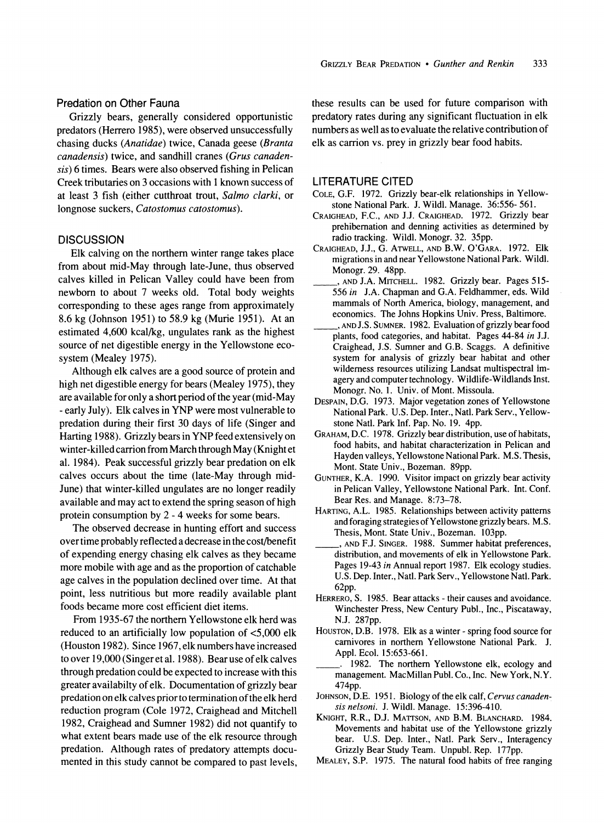# **Predation on Other Fauna**

**Grizzly bears, generally considered opportunistic predators (Herrero 1985), were observed unsuccessfully chasing ducks (Anatidae) twice, Canada geese (Branta canadensis) twice, and sandhill cranes (Grus canadensis) 6 times. Bears were also observed fishing in Pelican Creek tributaries on 3 occasions with 1 known success of at least 3 fish (either cutthroat trout, Salmo clarki, or longnose suckers, Catostomus catostomus).** 

### **DISCUSSION**

**Elk calving on the northern winter range takes place from about mid-May through late-June, thus observed calves killed in Pelican Valley could have been from newborn to about 7 weeks old. Total body weights corresponding to these ages range from approximately 8.6 kg (Johnson 1951) to 58.9 kg (Murie 1951). At an estimated 4,600 kcal/kg, ungulates rank as the highest source of net digestible energy in the Yellowstone ecosystem (Mealey 1975).** 

**Although elk calves are a good source of protein and high net digestible energy for bears (Mealey 1975), they are available for only a short period of the year (mid-May - early July). Elk calves in YNP were most vulnerable to predation during their first 30 days of life (Singer and Harting 1988). Grizzly bears in YNP feed extensively on winter-killed carrion from March through May (Knight et al. 1984). Peak successful grizzly bear predation on elk calves occurs about the time (late-May through mid-June) that winter-killed ungulates are no longer readily available and may act to extend the spring season of high protein consumption by 2 - 4 weeks for some bears.** 

**The observed decrease in hunting effort and success over time probably reflected a decrease in the cost/benefit of expending energy chasing elk calves as they became more mobile with age and as the proportion of catchable age calves in the population declined over time. At that point, less nutritious but more readily available plant foods became more cost efficient diet items.** 

**From 1935-67 the northern Yellowstone elk herd was reduced to an artificially low population of <5,000 elk (Houston 1982). Since 1967, elk numbers have increased to over 19,000 (Singer et al. 1988). Bear use of elk calves through predation could be expected to increase with this greater availabilty of elk. Documentation of grizzly bear predation on elk calves prior to termination of the elk herd reduction program (Cole 1972, Craighead and Mitchell 1982, Craighead and Sumner 1982) did not quantify to what extent bears made use of the elk resource through predation. Although rates of predatory attempts documented in this study cannot be compared to past levels,** 

**these results can be used for future comparison with predatory rates during any significant fluctuation in elk numbers as well as to evaluate the relative contribution of elk as carrion vs. prey in grizzly bear food habits.** 

#### **LITERATURE CITED**

- **COLE, G.F. 1972. Grizzly bear-elk relationships in Yellowstone National Park. J. Wildl. Manage. 36:556- 561.**
- **CRAIGHEAD, F.C., AND J.J. CRAIGHEAD. 1972. Grizzly bear prehiberation and denning activities as determined by radio tracking. Wildl. Monogr. 32. 35pp.**
- **CRAIGHEAD, J.J., G. ATWELL, AND B.W. O'GARA. 1972. Elk migrations in and near Yellowstone National Park. Wildl. Monogr. 29. 48pp.**
- **, AND J.A. MITCHELL. 1982. Grizzly bear. Pages 515- 556 in J.A. Chapman and G.A. Feldhammer, eds. Wild mammals of North America, biology, management, and economics. The Johns Hopkins Univ. Press, Baltimore.**
- **, AND J.S. SUMNER. 1982. Evaluation of grizzly bear food plants, food categories, and habitat. Pages 44-84 in J.J. Craighead, J.S. Sumner and G.B. Scaggs. A definitive system for analysis of grizzly bear habitat and other wilderness resources utilizing Landsat multispectral imagery and computer technology. Wildlife-Wildlands Inst. Monogr. No. 1. Univ. of Mont. Missoula.**
- **DESPAIN, D.G. 1973. Major vegetation zones of Yellowstone National Park. U.S. Dep. Inter., Natl. Park Serv., Yellowstone Natl. Park Inf. Pap. No. 19. 4pp.**
- **GRAHAM, D.C. 1978. Grizzly bear distribution, use of habitats, food habits, and habitat characterization in Pelican and Hayden valleys, Yellowstone National Park. M.S. Thesis, Mont. State Univ., Bozeman. 89pp.**
- **GUNTHER, K.A. 1990. Visitor impact on grizzly bear activity in Pelican Valley, Yellowstone National Park. Int. Conf. Bear Res. and Manage. 8:73-78.**
- **HARTING, A.L. 1985. Relationships between activity patterns and foraging strategies of Yellowstone grizzly bears. M.S. Thesis, Mont. State Univ., Bozeman. 103pp.**
- **, AND F.J. SINGER. 1988. Summer habitat preferences, distribution, and movements of elk in Yellowstone Park. Pages 19-43 in Annual report 1987. Elk ecology studies. U.S. Dep. Inter., Natl. Park Serv., Yellowstone Natl. Park. 62pp.**
- **HERRERO, S. 1985. Bear attacks their causes and avoidance. Winchester Press, New Century Publ., Inc., Piscataway, N.J. 287pp.**
- **HOUSTON, D.B. 1978. Elk as a winter spring food source for carnivores in northern Yellowstone National Park. J. Appl. Ecol. 15:653-661.**
- **. 1982. The northern Yellowstone elk, ecology and management. MacMillan Publ. Co., Inc. New York, N.Y. 474pp.**
- JOHNSON, D.E. 1951. Biology of the elk calf, Cervus canaden**sis nelsoni. J. Wildl. Manage. 15:396-410.**
- KNIGHT, R.R., D.J. MATTSON, AND B.M. BLANCHARD. 1984. **Movements and habitat use of the Yellowstone grizzly bear. U.S. Dep. Inter., Natl. Park Serv., Interagency Grizzly Bear Study Team. Unpubl. Rep. 177pp.**
- **MEALEY, S.P. 1975. The natural food habits of free ranging**